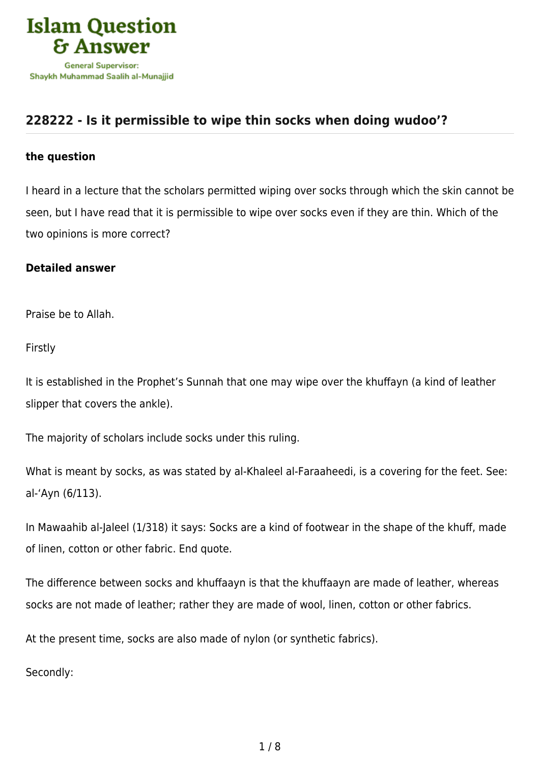

## **[228222 - Is it permissible to wipe thin socks when doing wudoo'?](https://islamqa.com/en/answers/228222/is-it-permissible-to-wipe-thin-socks-when-doing-wudoo)**

## **the question**

I heard in a lecture that the scholars permitted wiping over socks through which the skin cannot be seen, but I have read that it is permissible to wipe over socks even if they are thin. Which of the two opinions is more correct?

## **Detailed answer**

Praise be to Allah.

Firstly

It is established in the Prophet's Sunnah that one may wipe over the khuffayn (a kind of leather slipper that covers the ankle).

The majority of scholars include socks under this ruling.

What is meant by socks, as was stated by al-Khaleel al-Faraaheedi, is a covering for the feet. See: al-'Ayn (6/113).

In Mawaahib al-Jaleel (1/318) it says: Socks are a kind of footwear in the shape of the khuff, made of linen, cotton or other fabric. End quote.

The difference between socks and khuffaayn is that the khuffaayn are made of leather, whereas socks are not made of leather; rather they are made of wool, linen, cotton or other fabrics.

At the present time, socks are also made of nylon (or synthetic fabrics).

Secondly: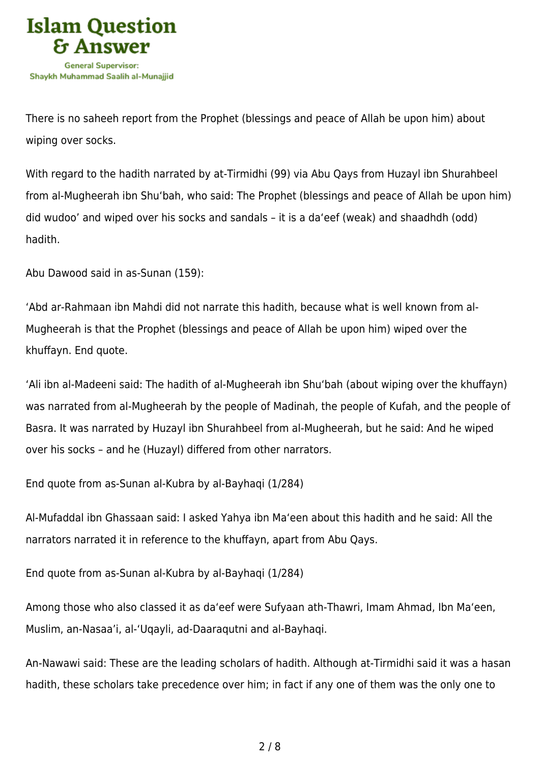

There is no saheeh report from the Prophet (blessings and peace of Allah be upon him) about wiping over socks.

With regard to the hadith narrated by at-Tirmidhi (99) via Abu Qays from Huzayl ibn Shurahbeel from al-Mugheerah ibn Shu'bah, who said: The Prophet (blessings and peace of Allah be upon him) did wudoo' and wiped over his socks and sandals – it is a da'eef (weak) and shaadhdh (odd) hadith.

Abu Dawood said in as-Sunan (159):

'Abd ar-Rahmaan ibn Mahdi did not narrate this hadith, because what is well known from al-Mugheerah is that the Prophet (blessings and peace of Allah be upon him) wiped over the khuffayn. End quote.

'Ali ibn al-Madeeni said: The hadith of al-Mugheerah ibn Shu'bah (about wiping over the khuffayn) was narrated from al-Mugheerah by the people of Madinah, the people of Kufah, and the people of Basra. It was narrated by Huzayl ibn Shurahbeel from al-Mugheerah, but he said: And he wiped over his socks – and he (Huzayl) differed from other narrators.

End quote from as-Sunan al-Kubra by al-Bayhaqi (1/284)

Al-Mufaddal ibn Ghassaan said: I asked Yahya ibn Ma'een about this hadith and he said: All the narrators narrated it in reference to the khuffayn, apart from Abu Qays.

End quote from as-Sunan al-Kubra by al-Bayhaqi (1/284)

Among those who also classed it as da'eef were Sufyaan ath-Thawri, Imam Ahmad, Ibn Ma'een, Muslim, an-Nasaa'i, al-'Uqayli, ad-Daaraqutni and al-Bayhaqi.

An-Nawawi said: These are the leading scholars of hadith. Although at-Tirmidhi said it was a hasan hadith, these scholars take precedence over him; in fact if any one of them was the only one to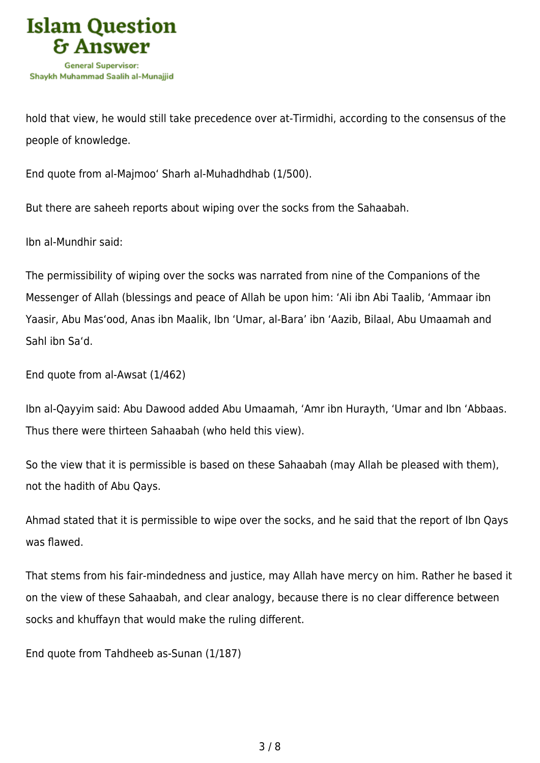

hold that view, he would still take precedence over at-Tirmidhi, according to the consensus of the people of knowledge.

End quote from al-Majmoo' Sharh al-Muhadhdhab (1/500).

But there are saheeh reports about wiping over the socks from the Sahaabah.

Ibn al-Mundhir said:

The permissibility of wiping over the socks was narrated from nine of the Companions of the Messenger of Allah (blessings and peace of Allah be upon him: 'Ali ibn Abi Taalib, 'Ammaar ibn Yaasir, Abu Mas'ood, Anas ibn Maalik, Ibn 'Umar, al-Bara' ibn 'Aazib, Bilaal, Abu Umaamah and Sahl ibn Sa'd.

End quote from al-Awsat (1/462)

Ibn al-Qayyim said: Abu Dawood added Abu Umaamah, 'Amr ibn Hurayth, 'Umar and Ibn 'Abbaas. Thus there were thirteen Sahaabah (who held this view).

So the view that it is permissible is based on these Sahaabah (may Allah be pleased with them), not the hadith of Abu Qays.

Ahmad stated that it is permissible to wipe over the socks, and he said that the report of Ibn Qays was flawed.

That stems from his fair-mindedness and justice, may Allah have mercy on him. Rather he based it on the view of these Sahaabah, and clear analogy, because there is no clear difference between socks and khuffayn that would make the ruling different.

End quote from Tahdheeb as-Sunan (1/187)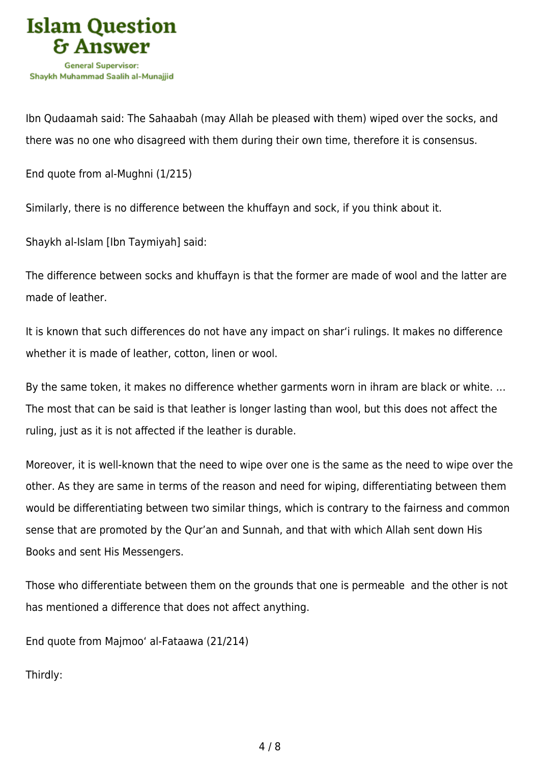

Ibn Qudaamah said: The Sahaabah (may Allah be pleased with them) wiped over the socks, and there was no one who disagreed with them during their own time, therefore it is consensus.

End quote from al-Mughni (1/215)

Similarly, there is no difference between the khuffayn and sock, if you think about it.

Shaykh al-Islam [Ibn Taymiyah] said:

The difference between socks and khuffayn is that the former are made of wool and the latter are made of leather.

It is known that such differences do not have any impact on shar'i rulings. It makes no difference whether it is made of leather, cotton, linen or wool.

By the same token, it makes no difference whether garments worn in ihram are black or white. … The most that can be said is that leather is longer lasting than wool, but this does not affect the ruling, just as it is not affected if the leather is durable.

Moreover, it is well-known that the need to wipe over one is the same as the need to wipe over the other. As they are same in terms of the reason and need for wiping, differentiating between them would be differentiating between two similar things, which is contrary to the fairness and common sense that are promoted by the Qur'an and Sunnah, and that with which Allah sent down His Books and sent His Messengers.

Those who differentiate between them on the grounds that one is permeable and the other is not has mentioned a difference that does not affect anything.

End quote from Majmoo' al-Fataawa (21/214)

Thirdly: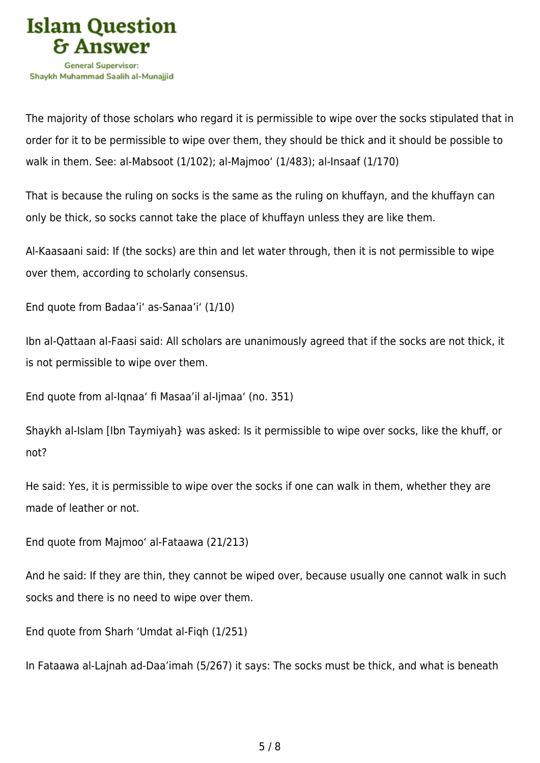

The majority of those scholars who regard it is permissible to wipe over the socks stipulated that in order for it to be permissible to wipe over them, they should be thick and it should be possible to walk in them. See: al-Mabsoot (1/102); al-Majmoo' (1/483); al-Insaaf (1/170)

That is because the ruling on socks is the same as the ruling on khuffayn, and the khuffayn can only be thick, so socks cannot take the place of khuffayn unless they are like them.

Al-Kaasaani said: If (the socks) are thin and let water through, then it is not permissible to wipe over them, according to scholarly consensus.

End quote from Badaa'i' as-Sanaa'i' (1/10)

Ibn al-Qattaan al-Faasi said: All scholars are unanimously agreed that if the socks are not thick, it is not permissible to wipe over them.

End quote from al-Iqnaa' fi Masaa'il al-Ijmaa' (no. 351)

Shaykh al-Islam [Ibn Taymiyah} was asked: Is it permissible to wipe over socks, like the khuff, or not?

He said: Yes, it is permissible to wipe over the socks if one can walk in them, whether they are made of leather or not.

End quote from Majmoo' al-Fataawa (21/213)

And he said: If they are thin, they cannot be wiped over, because usually one cannot walk in such socks and there is no need to wipe over them.

End quote from Sharh 'Umdat al-Fiqh (1/251)

In Fataawa al-Lajnah ad-Daa'imah (5/267) it says: The socks must be thick, and what is beneath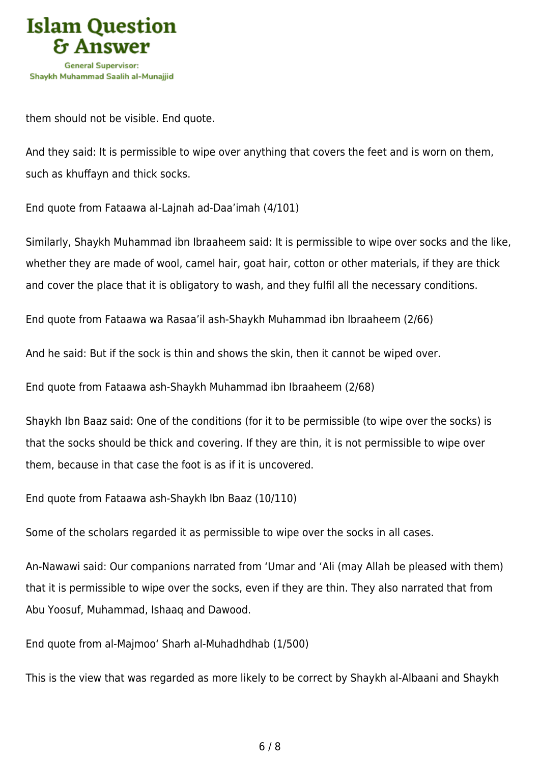

them should not be visible. End quote.

And they said: It is permissible to wipe over anything that covers the feet and is worn on them, such as khuffayn and thick socks.

End quote from Fataawa al-Lajnah ad-Daa'imah (4/101)

Similarly, Shaykh Muhammad ibn Ibraaheem said: It is permissible to wipe over socks and the like, whether they are made of wool, camel hair, goat hair, cotton or other materials, if they are thick and cover the place that it is obligatory to wash, and they fulfil all the necessary conditions.

End quote from Fataawa wa Rasaa'il ash-Shaykh Muhammad ibn Ibraaheem (2/66)

And he said: But if the sock is thin and shows the skin, then it cannot be wiped over.

End quote from Fataawa ash-Shaykh Muhammad ibn Ibraaheem (2/68)

Shaykh Ibn Baaz said: One of the conditions (for it to be permissible (to wipe over the socks) is that the socks should be thick and covering. If they are thin, it is not permissible to wipe over them, because in that case the foot is as if it is uncovered.

End quote from Fataawa ash-Shaykh Ibn Baaz (10/110)

Some of the scholars regarded it as permissible to wipe over the socks in all cases.

An-Nawawi said: Our companions narrated from 'Umar and 'Ali (may Allah be pleased with them) that it is permissible to wipe over the socks, even if they are thin. They also narrated that from Abu Yoosuf, Muhammad, Ishaaq and Dawood.

End quote from al-Majmoo' Sharh al-Muhadhdhab (1/500)

This is the view that was regarded as more likely to be correct by Shaykh al-Albaani and Shaykh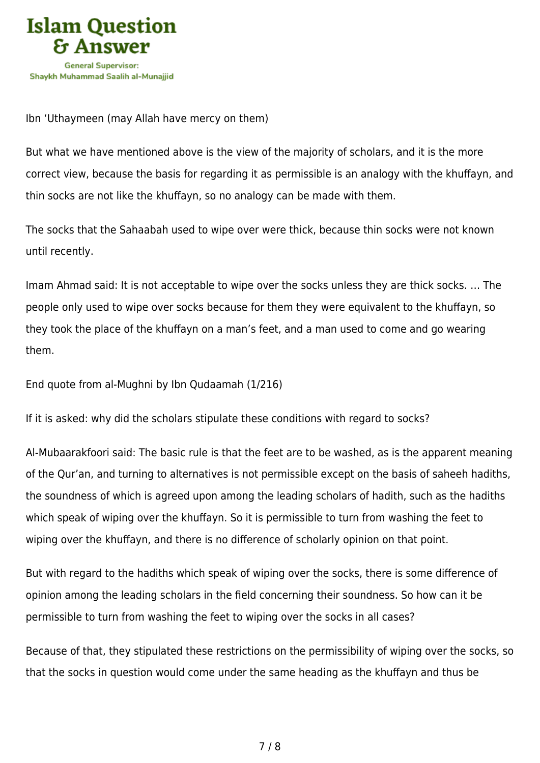

Ibn 'Uthaymeen (may Allah have mercy on them)

But what we have mentioned above is the view of the majority of scholars, and it is the more correct view, because the basis for regarding it as permissible is an analogy with the khuffayn, and thin socks are not like the khuffayn, so no analogy can be made with them.

The socks that the Sahaabah used to wipe over were thick, because thin socks were not known until recently.

Imam Ahmad said: It is not acceptable to wipe over the socks unless they are thick socks. … The people only used to wipe over socks because for them they were equivalent to the khuffayn, so they took the place of the khuffayn on a man's feet, and a man used to come and go wearing them.

End quote from al-Mughni by Ibn Qudaamah (1/216)

If it is asked: why did the scholars stipulate these conditions with regard to socks?

Al-Mubaarakfoori said: The basic rule is that the feet are to be washed, as is the apparent meaning of the Qur'an, and turning to alternatives is not permissible except on the basis of saheeh hadiths, the soundness of which is agreed upon among the leading scholars of hadith, such as the hadiths which speak of wiping over the khuffayn. So it is permissible to turn from washing the feet to wiping over the khuffayn, and there is no difference of scholarly opinion on that point.

But with regard to the hadiths which speak of wiping over the socks, there is some difference of opinion among the leading scholars in the field concerning their soundness. So how can it be permissible to turn from washing the feet to wiping over the socks in all cases?

Because of that, they stipulated these restrictions on the permissibility of wiping over the socks, so that the socks in question would come under the same heading as the khuffayn and thus be